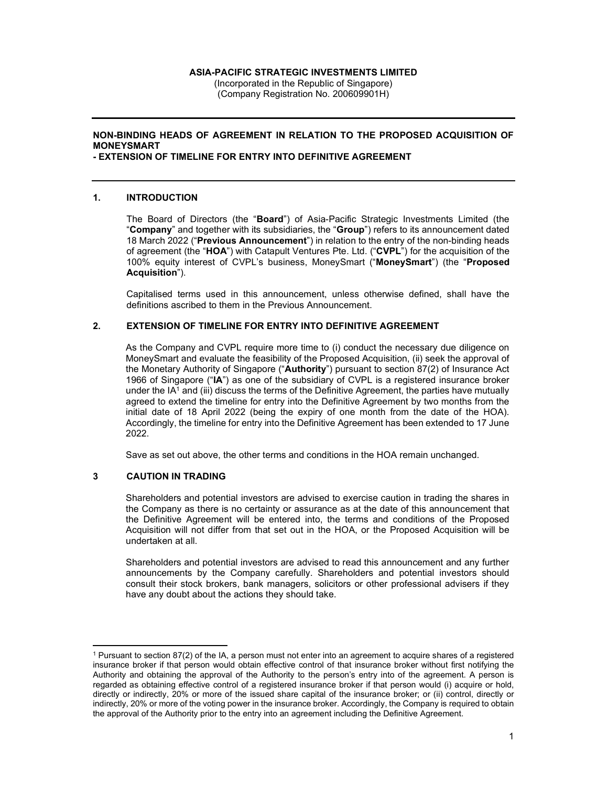#### ASIA-PACIFIC STRATEGIC INVESTMENTS LIMITED

(Incorporated in the Republic of Singapore) (Company Registration No. 200609901H)

# NON-BINDING HEADS OF AGREEMENT IN RELATION TO THE PROPOSED ACQUISITION OF MONEYSMART

### - EXTENSION OF TIMELINE FOR ENTRY INTO DEFINITIVE AGREEMENT

## 1. INTRODUCTION

The Board of Directors (the "Board") of Asia-Pacific Strategic Investments Limited (the "Company" and together with its subsidiaries, the "Group") refers to its announcement dated 18 March 2022 ("Previous Announcement") in relation to the entry of the non-binding heads of agreement (the "HOA") with Catapult Ventures Pte. Ltd. ("CVPL") for the acquisition of the 100% equity interest of CVPL's business, MoneySmart ("MoneySmart") (the "Proposed Acquisition").

Capitalised terms used in this announcement, unless otherwise defined, shall have the definitions ascribed to them in the Previous Announcement.

## 2. EXTENSION OF TIMELINE FOR ENTRY INTO DEFINITIVE AGREEMENT

As the Company and CVPL require more time to (i) conduct the necessary due diligence on MoneySmart and evaluate the feasibility of the Proposed Acquisition, (ii) seek the approval of the Monetary Authority of Singapore ("Authority") pursuant to section 87(2) of Insurance Act 1966 of Singapore ("IA") as one of the subsidiary of CVPL is a registered insurance broker under the IA<sup>1</sup> and (iii) discuss the terms of the Definitive Agreement, the parties have mutually agreed to extend the timeline for entry into the Definitive Agreement by two months from the initial date of 18 April 2022 (being the expiry of one month from the date of the HOA). Accordingly, the timeline for entry into the Definitive Agreement has been extended to 17 June 2022.

Save as set out above, the other terms and conditions in the HOA remain unchanged.

### 3 CAUTION IN TRADING

Shareholders and potential investors are advised to exercise caution in trading the shares in the Company as there is no certainty or assurance as at the date of this announcement that the Definitive Agreement will be entered into, the terms and conditions of the Proposed Acquisition will not differ from that set out in the HOA, or the Proposed Acquisition will be undertaken at all.

Shareholders and potential investors are advised to read this announcement and any further announcements by the Company carefully. Shareholders and potential investors should consult their stock brokers, bank managers, solicitors or other professional advisers if they have any doubt about the actions they should take.

<sup>1</sup> Pursuant to section 87(2) of the IA, a person must not enter into an agreement to acquire shares of a registered insurance broker if that person would obtain effective control of that insurance broker without first notifying the Authority and obtaining the approval of the Authority to the person's entry into of the agreement. A person is regarded as obtaining effective control of a registered insurance broker if that person would (i) acquire or hold, directly or indirectly, 20% or more of the issued share capital of the insurance broker; or (ii) control, directly or indirectly, 20% or more of the voting power in the insurance broker. Accordingly, the Company is required to obtain the approval of the Authority prior to the entry into an agreement including the Definitive Agreement.